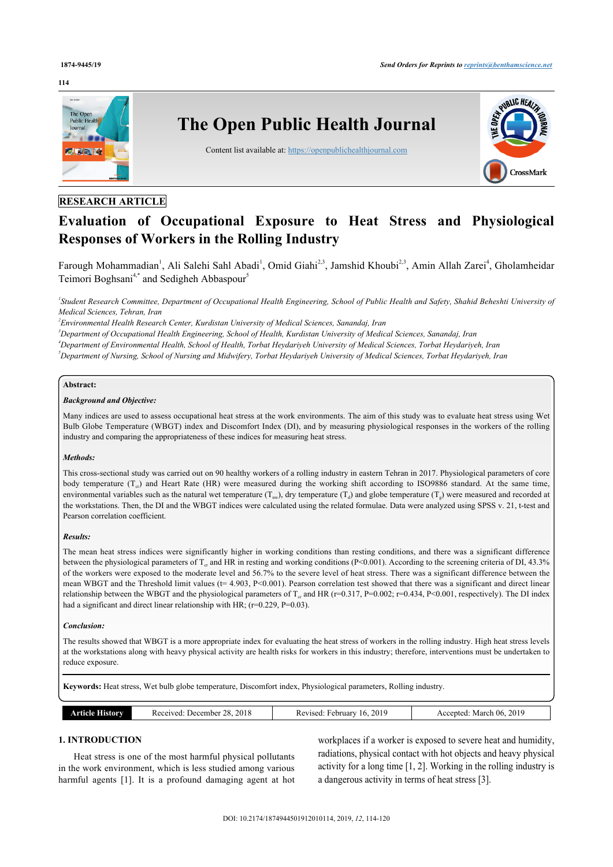# **114**



# **RESEARCH ARTICLE**

# **Evaluation of Occupational Exposure to Heat Stress and Physiological Responses of Workers in the Rolling Industry**

Farough Mohammadian<sup>[1](#page-0-0)</sup>, Ali Salehi Sahl Abadi<sup>1</sup>, Omid Giahi<sup>[2,](#page-0-1)[3](#page-0-2)</sup>, Jamshid Khoubi<sup>[2](#page-0-1),3</sup>, Amin Allah Zarei<sup>[4](#page-0-3)</sup>, Gholamheidar Teimori Boghsani<sup>[4](#page-0-3)[,\\*](#page-1-0)</sup> and Sedigheh Abbaspour<sup>[5](#page-0-4)</sup>

<span id="page-0-0"></span>*1 Student Research Committee, Department of Occupational Health Engineering, School of Public Health and Safety, Shahid Beheshti University of Medical Sciences, Tehran, Iran*

<span id="page-0-1"></span>*2 Environmental Health Research Center, Kurdistan University of Medical Sciences, Sanandaj, Iran*

<span id="page-0-2"></span>*<sup>3</sup>Department of Occupational Health Engineering, School of Health, Kurdistan University of Medical Sciences, Sanandaj, Iran*

<span id="page-0-3"></span>*<sup>4</sup>Department of Environmental Health, School of Health, Torbat Heydariyeh University of Medical Sciences, Torbat Heydariyeh, Iran*

<span id="page-0-4"></span>*<sup>5</sup>Department of Nursing, School of Nursing and Midwifery, Torbat Heydariyeh University of Medical Sciences, Torbat Heydariyeh, Iran*

### **Abstract:**

#### *Background and Objective:*

Many indices are used to assess occupational heat stress at the work environments. The aim of this study was to evaluate heat stress using Wet Bulb Globe Temperature (WBGT) index and Discomfort Index (DI), and by measuring physiological responses in the workers of the rolling industry and comparing the appropriateness of these indices for measuring heat stress.

# *Methods:*

This cross-sectional study was carried out on 90 healthy workers of a rolling industry in eastern Tehran in 2017. Physiological parameters of core body temperature  $(T_{cr})$  and Heart Rate (HR) were measured during the working shift according to ISO9886 standard. At the same time, environmental variables such as the natural wet temperature ( $T_{\text{nw}}$ ), dry temperature ( $T_d$ ) and globe temperature ( $T_g$ ) were measured and recorded at the workstations. Then, the DI and the WBGT indices were calculated using the related formulae. Data were analyzed using SPSS v. 21, t-test and Pearson correlation coefficient.

# *Results:*

The mean heat stress indices were significantly higher in working conditions than resting conditions, and there was a significant difference between the physiological parameters of  $T_{cr}$  and HR in resting and working conditions (P<0.001). According to the screening criteria of DI, 43.3% of the workers were exposed to the moderate level and 56.7% to the severe level of heat stress. There was a significant difference between the mean WBGT and the Threshold limit values (t= 4.903, P<0.001). Pearson correlation test showed that there was a significant and direct linear relationship between the WBGT and the physiological parameters of  $T_{cr}$  and HR (r=0.317, P=0.002; r=0.434, P<0.001, respectively). The DI index had a significant and direct linear relationship with HR; (r=0.229, P=0.03).

#### *Conclusion:*

The results showed that WBGT is a more appropriate index for evaluating the heat stress of workers in the rolling industry. High heat stress levels at the workstations along with heavy physical activity are health risks for workers in this industry; therefore, interventions must be undertaken to reduce exposure.

**Keywords:** Heat stress, Wet bulb globe temperature, Discomfort index, Physiological parameters, Rolling industry.

| <b>HISLOTY</b><br>Article | 2018<br>28<br>Received.<br>December | 201 <sup>c</sup><br>∴ebruarv<br>Revised.<br>۱h<br>. | 1 06. 2019<br>March<br>Accepted: |
|---------------------------|-------------------------------------|-----------------------------------------------------|----------------------------------|
|                           |                                     |                                                     |                                  |

# **1. INTRODUCTION**

Heat stress is one of the most harmful physical pollutants in the work environment, which is less studied among various harmful agents [\[1](#page-5-0)]. It is a profound damaging agent at hot

workplaces if a worker is exposed to severe heat and humidity, radiations, physical contact with hot objects and heavy physical activity for a long time [[1](#page-5-0), [2](#page-5-1)]. Working in the rolling industry is a dangerous activity in terms of heat stress [\[3\]](#page-5-2).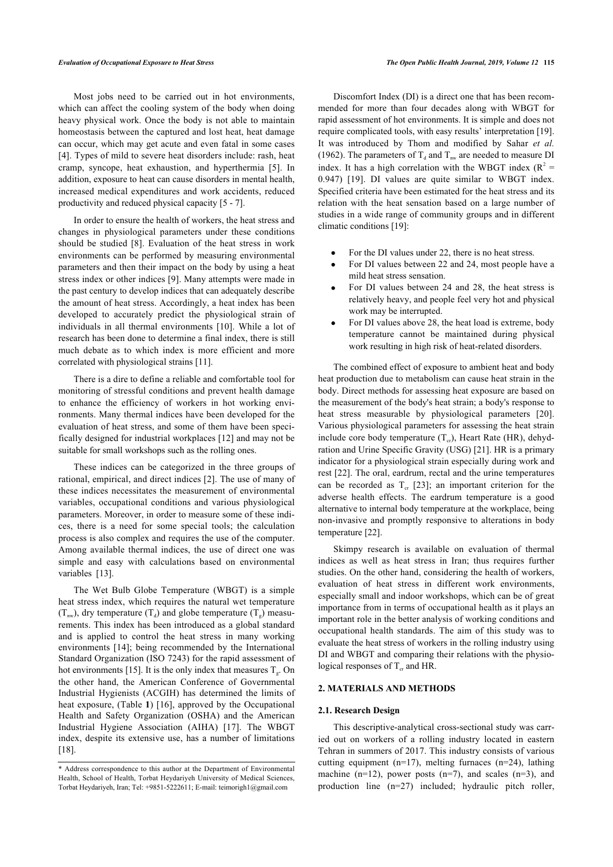Most jobs need to be carried out in hot environments, which can affect the cooling system of the body when doing heavy physical work. Once the body is not able to maintain homeostasis between the captured and lost heat, heat damage can occur, which may get acute and even fatal in some cases [[4](#page-5-3)]. Types of mild to severe heat disorders include: rash, heat cramp, syncope, heat exhaustion, and hyperthermia [\[5\]](#page-5-4). In addition, exposure to heat can cause disorders in mental health, increased medical expenditures and work accidents, reduced productivity and reduced physical capacity [\[5](#page-5-4) - [7\]](#page-5-5).

In order to ensure the health of workers, the heat stress and changes in physiological parameters under these conditions should be studied [\[8](#page-5-6)]. Evaluation of the heat stress in work environments can be performed by measuring environmental parameters and then their impact on the body by using a heat stress index or other indices [\[9\]](#page-5-7). Many attempts were made in the past century to develop indices that can adequately describe the amount of heat stress. Accordingly, a heat index has been developed to accurately predict the physiological strain of individuals in all thermal environments [\[10\]](#page-5-8). While a lot of research has been done to determine a final index, there is still much debate as to which index is more efficient and more correlated with physiological strains [[11\]](#page-5-9).

There is a dire to define a reliable and comfortable tool for monitoring of stressful conditions and prevent health damage to enhance the efficiency of workers in hot working environments. Many thermal indices have been developed for the evaluation of heat stress, and some of them have been specifically designed for industrial workplaces [[12](#page-5-10)] and may not be suitable for small workshops such as the rolling ones.

These indices can be categorized in the three groups of rational, empirical, and direct indices [[2\]](#page-5-1). The use of many of these indices necessitates the measurement of environmental variables, occupational conditions and various physiological parameters. Moreover, in order to measure some of these indices, there is a need for some special tools; the calculation process is also complex and requires the use of the computer. Among available thermal indices, the use of direct one was simple and easy with calculations based on environmental variables [\[13](#page-5-11)].

The Wet Bulb Globe Temperature (WBGT) is a simple heat stress index, which requires the natural wet temperature  $(T_{nw})$ , dry temperature  $(T_d)$  and globe temperature  $(T_g)$  measurements. This index has been introduced as a global standard and is applied to control the heat stress in many working environments[[14\]](#page-5-12); being recommended by the International Standard Organization (ISO 7243) for the rapid assessment of hot environments [[15\]](#page-5-13). It is the only index that measures  $T_g$ . On the other hand, the American Conference of Governmental Industrial Hygienists (ACGIH) has determined the limits of heat exposure, (Table **[1](#page-2-0)**) [\[16](#page-5-14)], approved by the Occupational Health and Safety Organization (OSHA) and the American Industrial Hygiene Association (AIHA)[[17](#page-5-15)]. The WBGT index, despite its extensive use, has a number of limitations [[18\]](#page-5-16).

Discomfort Index (DI) is a direct one that has been recommended for more than four decades along with WBGT for rapid assessment of hot environments. It is simple and does not require complicated tools, with easy results' interpretation [\[19](#page-5-17)]. It was introduced by Thom and modified by Sahar *et al.* (1962). The parameters of  $T_d$  and  $T_{nw}$  are needed to measure DI index. It has a high correlation with the WBGT index ( $R^2$  = 0.947)[[19\]](#page-5-17). DI values are quite similar to WBGT index. Specified criteria have been estimated for the heat stress and its relation with the heat sensation based on a large number of studies in a wide range of community groups and in different climatic conditions [[19\]](#page-5-17):

- For the DI values under 22, there is no heat stress.
- For DI values between 22 and 24, most people have a mild heat stress sensation.
- For DI values between 24 and 28, the heat stress is relatively heavy, and people feel very hot and physical work may be interrupted.
- For DI values above 28, the heat load is extreme, body temperature cannot be maintained during physical work resulting in high risk of heat-related disorders.

The combined effect of exposure to ambient heat and body heat production due to metabolism can cause heat strain in the body. Direct methods for assessing heat exposure are based on the measurement of the body's heat strain; a body's response to heat stress measurable by physiological parameters[[20](#page-6-0)]. Various physiological parameters for assessing the heat strain include core body temperature  $(T_{cr})$ , Heart Rate (HR), dehydration and Urine Specific Gravity (USG) [\[21](#page-6-1)]. HR is a primary indicator for a physiological strain especially during work and rest [[22](#page-6-2)]. The oral, eardrum, rectal and the urine temperatures can be recorded as  $T_{cr}$  [\[23\]](#page-6-3); an important criterion for the adverse health effects. The eardrum temperature is a good alternative to internal body temperature at the workplace, being non-invasive and promptly responsive to alterations in body temperature [\[22](#page-6-2)].

Skimpy research is available on evaluation of thermal indices as well as heat stress in Iran; thus requires further studies. On the other hand, considering the health of workers, evaluation of heat stress in different work environments, especially small and indoor workshops, which can be of great importance from in terms of occupational health as it plays an important role in the better analysis of working conditions and occupational health standards. The aim of this study was to evaluate the heat stress of workers in the rolling industry using DI and WBGT and comparing their relations with the physiological responses of  $T_{cr}$  and HR.

# **2. MATERIALS AND METHODS**

# **2.1. Research Design**

This descriptive-analytical cross-sectional study was carried out on workers of a rolling industry located in eastern Tehran in summers of 2017. This industry consists of various cutting equipment  $(n=17)$ , melting furnaces  $(n=24)$ , lathing machine  $(n=12)$ , power posts  $(n=7)$ , and scales  $(n=3)$ , and production line (n=27) included; hydraulic pitch roller,

<span id="page-1-0"></span><sup>\*</sup> Address correspondence to this author at the Department of Environmental Health, School of Health, Torbat Heydariyeh University of Medical Sciences, Torbat Heydariyeh, Iran; Tel: +9851-5222611; E-mail: [teimorigh1@gmail.com](mailto:teimorigh1@gmail.com)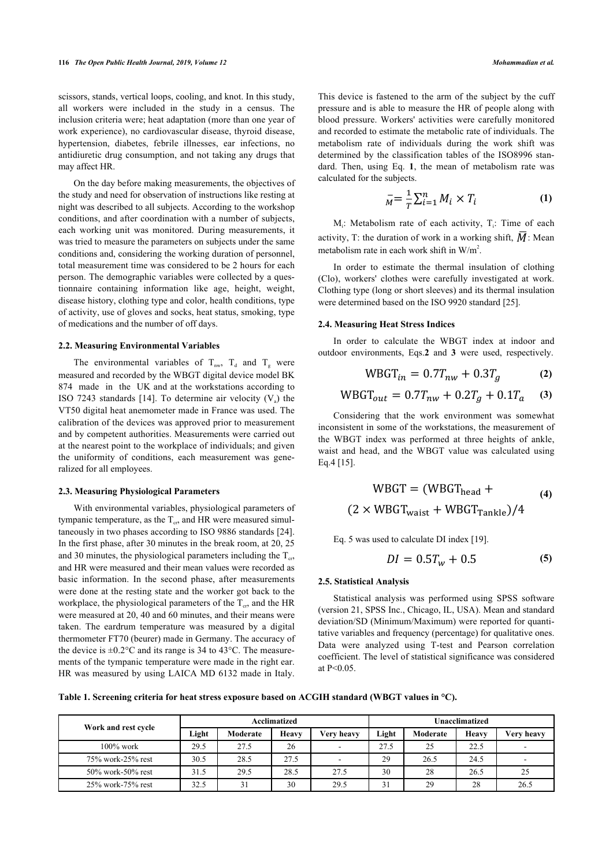scissors, stands, vertical loops, cooling, and knot. In this study, all workers were included in the study in a census. The inclusion criteria were; heat adaptation (more than one year of work experience), no cardiovascular disease, thyroid disease, hypertension, diabetes, febrile illnesses, ear infections, no antidiuretic drug consumption, and not taking any drugs that may affect HR.

On the day before making measurements, the objectives of the study and need for observation of instructions like resting at night was described to all subjects. According to the workshop conditions, and after coordination with a number of subjects, each working unit was monitored. During measurements, it was tried to measure the parameters on subjects under the same conditions and, considering the working duration of personnel, total measurement time was considered to be 2 hours for each person. The demographic variables were collected by a questionnaire containing information like age, height, weight, disease history, clothing type and color, health conditions, type of activity, use of gloves and socks, heat status, smoking, type of medications and the number of off days.

#### **2.2. Measuring Environmental Variables**

The environmental variables of  $T_{\text{nw}}$ ,  $T_{d}$  and  $T_{g}$  were measured and recorded by the WBGT digital device model BK 874 made in the UK and at the workstations according to ISO 7243 standards [\[14](#page-5-12)]. To determine air velocity  $(V_a)$  the VT50 digital heat anemometer made in France was used. The calibration of the devices was approved prior to measurement and by competent authorities. Measurements were carried out at the nearest point to the workplace of individuals; and given the uniformity of conditions, each measurement was generalized for all employees.

# **2.3. Measuring Physiological Parameters**

With environmental variables, physiological parameters of tympanic temperature, as the  $T_{cr}$ , and HR were measured simultaneously in two phases according to ISO 9886 standards [[24](#page-6-4)]. In the first phase, after 30 minutes in the break room, at 20, 25 and 30 minutes, the physiological parameters including the  $T_{cr}$ , and HR were measured and their mean values were recorded as basic information. In the second phase, after measurements were done at the resting state and the worker got back to the workplace, the physiological parameters of the  $T_{cr}$ , and the HR were measured at 20, 40 and 60 minutes, and their means were taken. The eardrum temperature was measured by a digital thermometer FT70 (beurer) made in Germany. The accuracy of the device is  $\pm 0.2$ °C and its range is 34 to 43°C. The measurements of the tympanic temperature were made in the right ear. HR was measured by using LAICA MD 6132 made in Italy.

This device is fastened to the arm of the subject by the cuff pressure and is able to measure the HR of people along with blood pressure. Workers' activities were carefully monitored and recorded to estimate the metabolic rate of individuals. The metabolism rate of individuals during the work shift was determined by the classification tables of the ISO8996 standard. Then, using Eq. **1**, the mean of metabolism rate was calculated for the subjects.

$$
\bar{M} = \frac{1}{T} \sum_{i=1}^{n} M_i \times T_i \tag{1}
$$

M<sub>i</sub>: Metabolism rate of each activity, T<sub>i</sub>: Time of each activity, T: the duration of work in a working shift,  $\overline{M}$ : Mean metabolism rate in each work shift in  $W/m^2$ .

In order to estimate the thermal insulation of clothing (Clo), workers' clothes were carefully investigated at work. Clothing type (long or short sleeves) and its thermal insulation were determined based on the ISO 9920 standard [\[25](#page-6-5)].

### **2.4. Measuring Heat Stress Indices**

In order to calculate the WBGT index at indoor and outdoor environments, Eqs.**2** and **3** were used, respectively.

$$
WBGT_{in} = 0.7T_{nw} + 0.3T_g \tag{2}
$$

$$
WBGT_{out} = 0.7T_{nw} + 0.2T_g + 0.1T_a \quad (3)
$$

Considering that the work environment was somewhat inconsistent in some of the workstations, the measurement of the WBGT index was performed at three heights of ankle, waist and head, and the WBGT value was calculated using Eq.4 [[15\]](#page-5-13).

$$
WBGT = (WBGThead +(2 × WBGTwaist + WBGTrankle)/4
$$

Eq. 5 was used to calculate DI index [[19\]](#page-5-17).

$$
DI = 0.5T_w + 0.5
$$
 (5)

# **2.5. Statistical Analysis**

Statistical analysis was performed using SPSS software (version 21, SPSS Inc., Chicago, IL, USA). Mean and standard deviation/SD (Minimum/Maximum) were reported for quantitative variables and frequency (percentage) for qualitative ones. Data were analyzed using T-test and Pearson correlation coefficient. The level of statistical significance was considered at  $P < 0.05$ .

<span id="page-2-0"></span>**Table 1. Screening criteria for heat stress exposure based on ACGIH standard (WBGT values in °C).**

|                     | Acclimatized |          |       |                          | Unacclimatized |          |       |            |
|---------------------|--------------|----------|-------|--------------------------|----------------|----------|-------|------------|
| Work and rest cycle | Light        | Moderate | Heavy | Very heavy               | Light          | Moderate | Heavy | Very heavy |
| $100\%$ work        | 29.5         | 27.5     | 26    | $\overline{\phantom{a}}$ | 27.5           | 25       | 22.5  | -          |
| 75% work-25% rest   | 30.5         | 28.5     | 27.5  | $\overline{\phantom{a}}$ | 29             | 26.5     | 24.5  | ۰.         |
| 50% work-50% rest   | 31.5         | 29.5     | 28.5  | 27.5                     | 30             | 28       | 26.5  | 25         |
| 25% work-75% rest   | 32.5         | 31       | 30    | 29.5                     | 31             | 29       | 28    | 26.5       |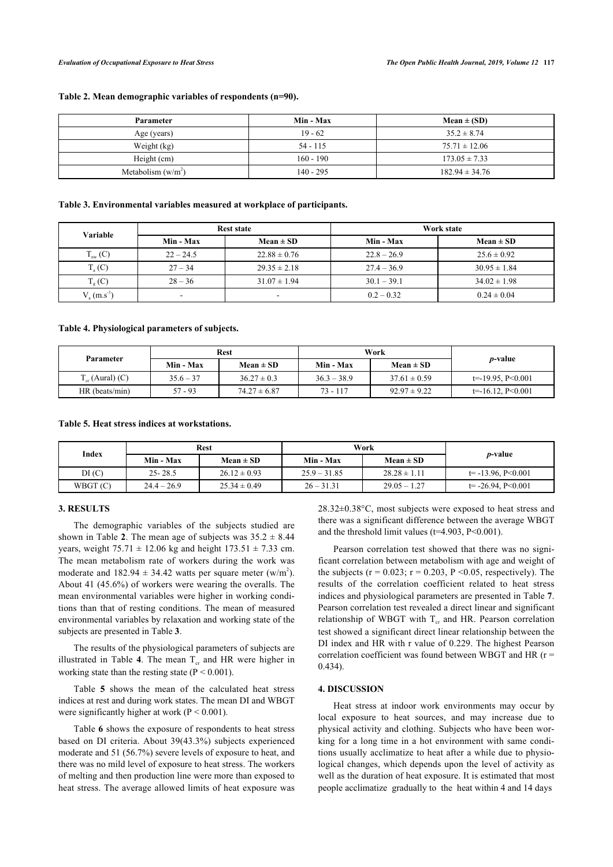# <span id="page-3-0"></span>**Table 2. Mean demographic variables of respondents (n=90).**

| Parameter            | Min - Max   | $Mean \pm (SD)$    |
|----------------------|-------------|--------------------|
| Age (years)          | $19 - 62$   | $35.2 \pm 8.74$    |
| Weight (kg)          | $54 - 115$  | $75.71 \pm 12.06$  |
| Height (cm)          | $160 - 190$ | $173.05 \pm 7.33$  |
| Metabolism $(w/m^2)$ | $140 - 295$ | $182.94 \pm 34.76$ |

#### <span id="page-3-1"></span>**Table 3. Environmental variables measured at workplace of participants.**

| Variable                   |                          | Rest state               | Work state    |                  |  |
|----------------------------|--------------------------|--------------------------|---------------|------------------|--|
|                            | Min - Max                | $Mean \pm SD$            | Min - Max     | $Mean \pm SD$    |  |
| $T_{\text{nw}}(C)$         | $22 - 24.5$              | $22.88 \pm 0.76$         | $22.8 - 26.9$ | $25.6 \pm 0.92$  |  |
| $T_{\rm a}$ (C)            | $27 - 34$                | $29.35 \pm 2.18$         | $27.4 - 36.9$ | $30.95 \pm 1.84$ |  |
| $T_e(C)$                   | $28 - 36$                | $31.07 \pm 1.94$         | $30.1 - 39.1$ | $34.02 \pm 1.98$ |  |
| $V_a$ (m.s <sup>-1</sup> ) | $\overline{\phantom{0}}$ | $\overline{\phantom{0}}$ | $0.2 - 0.32$  | $0.24 \pm 0.04$  |  |

#### <span id="page-3-2"></span>**Table 4. Physiological parameters of subjects.**

|                      |            | <b>Rest</b>      |               | Work             |                         |
|----------------------|------------|------------------|---------------|------------------|-------------------------|
| Parameter            | Min - Max  | Mean $\pm$ SD    | Min - Max     | $Mean \pm SD$    | <i>p</i> -value         |
| $T_{cr}$ (Aural) (C) | $356 - 37$ | $36.27 \pm 0.3$  | $36.3 - 38.9$ | $37.61 \pm 0.59$ | $t = -19.95, P < 0.001$ |
| HR (beats/min)       | $57 - 93$  | $74.27 \pm 6.87$ | $73 - 117$    | $92.97 \pm 9.22$ | $t=16.12, P<0.001$      |

### <span id="page-3-3"></span>**Table 5. Heat stress indices at workstations.**

| Index    |               | <b>Rest</b>      |                | Work             |                        |
|----------|---------------|------------------|----------------|------------------|------------------------|
|          | Min - Max     | $Mean \pm SD$    | Min - Max      | $Mean \pm SD$    | <i>p</i> -value        |
| DI(C)    | $25 - 28.5$   | $26.12 \pm 0.93$ | $25.9 - 31.85$ | $28.28 \pm 1.11$ | $t = -13.96$ , P<0.001 |
| WBGT (C) | $24.4 - 26.9$ | $25.34 \pm 0.49$ | $26 - 31.31$   | $29.05 - 1.27$   | $t = -26.94$ , P<0.001 |

# **3. RESULTS**

The demographic variables of the subjects studied are shown in Table [2](#page-3-0). The mean age of subjects was  $35.2 \pm 8.44$ years, weight  $75.71 \pm 12.06$  kg and height  $173.51 \pm 7.33$  cm. The mean metabolism rate of workers during the work was moderate and  $182.94 \pm 34.42$  watts per square meter (w/m<sup>2</sup>). About 41 (45.6%) of workers were wearing the overalls. The mean environmental variables were higher in working conditions than that of resting conditions. The mean of measured environmental variables by relaxation and working state of the subjects are presented in Table **[3](#page-3-1)**.

The results of the physiological parameters of subjects are illustratedin Table 4. The mean  $T_{cr}$  and HR were higher in working state than the resting state  $(P < 0.001)$ .

Table**5** shows the mean of the calculated heat stress indices at rest and during work states. The mean DI and WBGT were significantly higher at work ( $P < 0.001$ ).

Table **[6](#page-4-0)** shows the exposure of respondents to heat stress based on DI criteria. About 39(43.3%) subjects experienced moderate and 51 (56.7%) severe levels of exposure to heat, and there was no mild level of exposure to heat stress. The workers of melting and then production line were more than exposed to heat stress. The average allowed limits of heat exposure was 28.32±0.38°C, most subjects were exposed to heat stress and there was a significant difference between the average WBGT and the threshold limit values  $(t=4.903, P<0.001)$ .

Pearson correlation test showed that there was no significant correlation between metabolism with age and weight of the subjects  $(r = 0.023; r = 0.203, P \le 0.05$ , respectively). The results of the correlation coefficient related to heat stress indices and physiological parameters are presented in Table **[7](#page-4-1)**. Pearson correlation test revealed a direct linear and significant relationship of WBGT with  $T_{cr}$  and HR. Pearson correlation test showed a significant direct linear relationship between the DI index and HR with r value of 0.229. The highest Pearson correlation coefficient was found between WBGT and HR (r = 0.434).

# **4. DISCUSSION**

Heat stress at indoor work environments may occur by local exposure to heat sources, and may increase due to physical activity and clothing. Subjects who have been working for a long time in a hot environment with same conditions usually acclimatize to heat after a while due to physiological changes, which depends upon the level of activity as well as the duration of heat exposure. It is estimated that most people acclimatize gradually to the heat within 4 and 14 days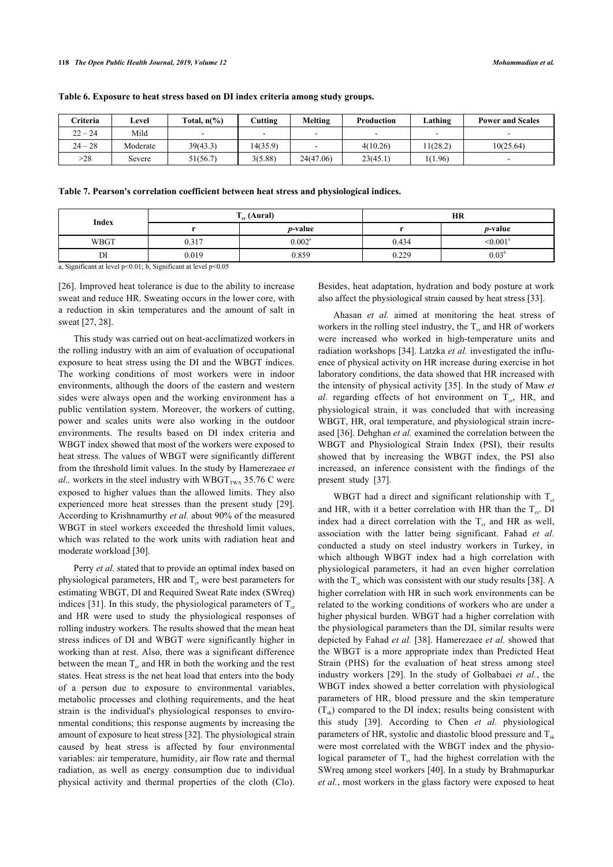| Criteria  | ∟evel    | Total, $n\frac{6}{6}$    | $\mathop{\hbox{\rm\small{Cutting}}}$ | Melting   | Production | Lathing                  | <b>Power and Scales</b>  |
|-----------|----------|--------------------------|--------------------------------------|-----------|------------|--------------------------|--------------------------|
| $22 - 24$ | Mild     | $\overline{\phantom{a}}$ |                                      |           |            | $\overline{\phantom{a}}$ |                          |
| $24 - 28$ | Moderate | 39(43.3)                 | 14(35.9)                             |           | 4(10.26)   | 1(28.2)                  | 10(25.64)                |
| >28       | Severe   | 51(56.7)                 | 3(5.88)                              | 24(47.06) | 23(45.1)   | 1(1.96)                  | $\overline{\phantom{0}}$ |

<span id="page-4-0"></span>**Table 6. Exposure to heat stress based on DI index criteria among study groups.**

<span id="page-4-1"></span>**Table 7. Pearson's correlation coefficient between heat stress and physiological indices.**

| Index       |       | $T_{cr}$ (Aural)   | <b>HR</b> |                      |
|-------------|-------|--------------------|-----------|----------------------|
|             |       | <i>p</i> -value    |           | <i>p</i> -value      |
| <b>WBGT</b> | 0.317 | $0.002^{\text{a}}$ | 0.434     | $\leq 0.001^{\circ}$ |
| DI          | 0.019 | 0.859              | 0.229     | $0.03^b$             |

a, Significant at level p<0.01; b, Significant at level p<0.05

[[26\]](#page-6-6). Improved heat tolerance is due to the ability to increase sweat and reduce HR. Sweating occurs in the lower core, with a reduction in skin temperatures and the amount of salt in sweat [\[27](#page-6-7), [28\]](#page-6-8).

This study was carried out on heat-acclimatized workers in the rolling industry with an aim of evaluation of occupational exposure to heat stress using the DI and the WBGT indices. The working conditions of most workers were in indoor environments, although the doors of the eastern and western sides were always open and the working environment has a public ventilation system. Moreover, the workers of cutting, power and scales units were also working in the outdoor environments. The results based on DI index criteria and WBGT index showed that most of the workers were exposed to heat stress. The values of WBGT were significantly different from the threshold limit values. In the study by Hamerezaee *et al.*, workers in the steel industry with  $WBGT_{TWA}$  35.76 C were exposed to higher values than the allowed limits. They also experienced more heat stresses than the present study[[29\]](#page-6-9). According to Krishnamurthy *et al.* about 90% of the measured WBGT in steel workers exceeded the threshold limit values, which was related to the work units with radiation heat and moderate workload [[30\]](#page-6-10).

Perry *et al.* stated that to provide an optimal index based on physiological parameters, HR and  $T_{cr}$  were best parameters for estimating WBGT, DI and Required Sweat Rate index (SWreq) indices [[31\]](#page-6-11). In this study, the physiological parameters of  $T_{cr}$ and HR were used to study the physiological responses of rolling industry workers. The results showed that the mean heat stress indices of DI and WBGT were significantly higher in working than at rest. Also, there was a significant difference between the mean  $T_{cr}$  and HR in both the working and the rest states. Heat stress is the net heat load that enters into the body of a person due to exposure to environmental variables, metabolic processes and clothing requirements, and the heat strain is the individual's physiological responses to environmental conditions; this response augments by increasing the amount of exposure to heat stress [[32\]](#page-6-12). The physiological strain caused by heat stress is affected by four environmental variables: air temperature, humidity, air flow rate and thermal radiation, as well as energy consumption due to individual physical activity and thermal properties of the cloth (Clo).

Besides, heat adaptation, hydration and body posture at work also affect the physiological strain caused by heat stress [\[33](#page-6-1)].

Ahasan *et al.* aimed at monitoring the heat stress of workers in the rolling steel industry, the  $T_c$  and HR of workers were increased who worked in high-temperature units and radiation workshops [\[34](#page-6-2)]. Latzka *et al.* investigated the influence of physical activity on HR increase during exercise in hot laboratory conditions, the data showed that HR increased with the intensity of physical activity [\[35\]](#page-6-13). In the study of Maw *et*  $al.$  regarding effects of hot environment on  $T_{cr}$ , HR, and physiological strain, it was concluded that with increasing WBGT, HR, oral temperature, and physiological strain increased [\[36](#page-6-14)]. Dehghan *et al.* examined the correlation between the WBGT and Physiological Strain Index (PSI), their results showed that by increasing the WBGT index, the PSI also increased, an inference consistent with the findings of the present study[[37\]](#page-6-15).

WBGT had a direct and significant relationship with  $T_c$ and HR, with it a better correlation with HR than the  $T_{cr}$ . DI index had a direct correlation with the  $T_{cr}$  and HR as well, association with the latter being significant. Fahad *et al.* conducted a study on steel industry workers in Turkey, in which although WBGT index had a high correlation with physiological parameters, it had an even higher correlation with the  $T_c$  which was consistent with our study results [\[38](#page-6-16)]. A higher correlation with HR in such work environments can be related to the working conditions of workers who are under a higher physical burden. WBGT had a higher correlation with the physiological parameters than the DI, similar results were depicted by Fahad *et al.* [[38](#page-6-16)]. Hamerezaee *et al.* showed that the WBGT is a more appropriate index than Predicted Heat Strain (PHS) for the evaluation of heat stress among steel industry workers[[29\]](#page-6-9). In the study of Golbabaei *et al.*, the WBGT index showed a better correlation with physiological parameters of HR, blood pressure and the skin temperature  $(T_{sk})$  compared to the DI index; results being consistent with this study [\[39](#page-6-17)]. According to Chen *et al.* physiological parameters of HR, systolic and diastolic blood pressure and  $T_{sk}$ were most correlated with the WBGT index and the physiological parameter of  $T_{cr}$  had the highest correlation with the SWreq among steel workers [\[40](#page-6-18)]. In a study by Brahmapurkar *et al.*, most workers in the glass factory were exposed to heat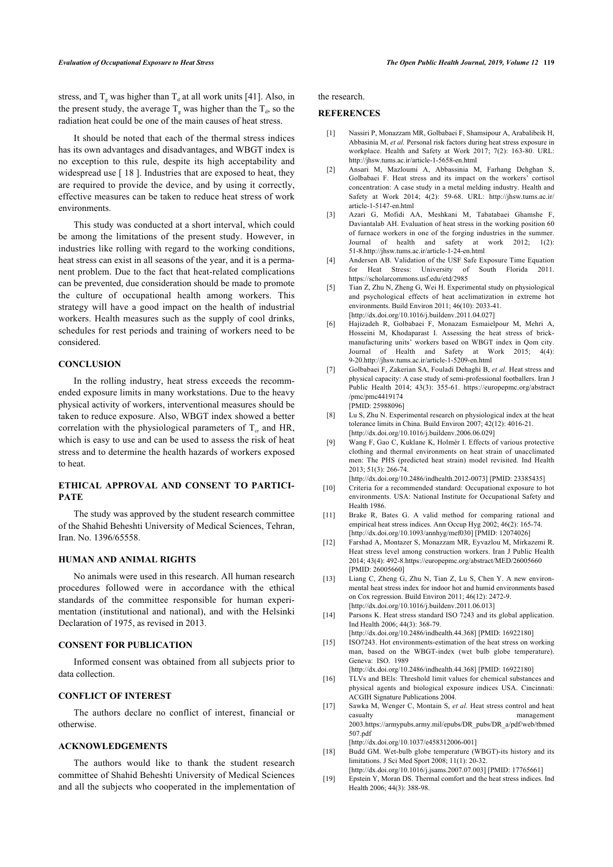stress, and  $T_{\rm g}$  was higher than  $T_{\rm d}$  at all work units [[41](#page-6-10)]. Also, in the present study, the average  $T_{g}$  was higher than the  $T_{d}$ , so the radiation heat could be one of the main causes of heat stress.

<span id="page-5-1"></span><span id="page-5-0"></span>It should be noted that each of the thermal stress indices has its own advantages and disadvantages, and WBGT index is no exception to this rule, despite its high acceptability and widespread use [[18](#page-5-16)]. Industries that are exposed to heat, they are required to provide the device, and by using it correctly, effective measures can be taken to reduce heat stress of work environments.

<span id="page-5-4"></span><span id="page-5-3"></span><span id="page-5-2"></span>This study was conducted at a short interval, which could be among the limitations of the present study. However, in industries like rolling with regard to the working conditions, heat stress can exist in all seasons of the year, and it is a permanent problem. Due to the fact that heat-related complications can be prevented, due consideration should be made to promote the culture of occupational health among workers. This strategy will have a good impact on the health of industrial workers. Health measures such as the supply of cool drinks, schedules for rest periods and training of workers need to be considered.

# <span id="page-5-5"></span>**CONCLUSION**

<span id="page-5-6"></span>In the rolling industry, heat stress exceeds the recommended exposure limits in many workstations. Due to the heavy physical activity of workers, interventional measures should be taken to reduce exposure. Also, WBGT index showed a better correlation with the physiological parameters of  $T_{cr}$  and HR, which is easy to use and can be used to assess the risk of heat stress and to determine the health hazards of workers exposed to heat.

# <span id="page-5-8"></span><span id="page-5-7"></span>**ETHICAL APPROVAL AND CONSENT TO PARTICI-PATE**

<span id="page-5-9"></span>The study was approved by the student research committee of the Shahid Beheshti University of Medical Sciences, Tehran, Iran. No. 1396/65558.

# <span id="page-5-10"></span>**HUMAN AND ANIMAL RIGHTS**

<span id="page-5-11"></span>No animals were used in this research. All human research procedures followed were in accordance with the ethical standards of the committee responsible for human experimentation (institutional and national), and with the Helsinki Declaration of 1975, as revised in 2013.

### <span id="page-5-13"></span><span id="page-5-12"></span>**CONSENT FOR PUBLICATION**

<span id="page-5-14"></span>Informed consent was obtained from all subjects prior to data collection.

# **CONFLICT OF INTEREST**

<span id="page-5-15"></span>The authors declare no conflict of interest, financial or otherwise.

# <span id="page-5-16"></span>**ACKNOWLEDGEMENTS**

<span id="page-5-17"></span>The authors would like to thank the student research committee of Shahid Beheshti University of Medical Sciences and all the subjects who cooperated in the implementation of

# the research.

# **REFERENCES**

- [1] Nassiri P, Monazzam MR, Golbabaei F, Shamsipour A, Arabalibeik H, Abbasinia M, *et al.* Personal risk factors during heat stress exposure in workplace. Health and Safety at Work 2017; 7(2): 163-80. URL: <http://jhsw.tums.ac.ir/article-1-5658-en.html>
- [2] Ansari M, Mazloumi A, Abbassinia M, Farhang Dehghan S, Golbabaei F. Heat stress and its impact on the workers' cortisol concentration: A case study in a metal melding industry. Health and Safety at Work 2014; 4(2): 59-68. URL: [http://jhsw.tums.ac.ir/](http://jhsw.tums.ac.ir/article-1-5147-en.html) [article-1-5147-en.html](http://jhsw.tums.ac.ir/article-1-5147-en.html)
- [3] Azari G, Mofidi AA, Meshkani M, Tabatabaei Ghamshe F, Daviantalab AH. Evaluation of heat stress in the working position 60 of furnace workers in one of the forging industries in the summer. Journal of health and safety at work 2012; 1(2): 51-8.<http://jhsw.tums.ac.ir/article-1-24-en.html>
- [4] Andersen AB. Validation of the USF Safe Exposure Time Equation for Heat Stress: University of South Florida 2011. <https://scholarcommons.usf.edu/etd/2985>
- [5] Tian Z, Zhu N, Zheng G, Wei H. Experimental study on physiological and psychological effects of heat acclimatization in extreme hot environments. Build Environ 2011; 46(10): 2033-41. [\[http://dx.doi.org/10.1016/j.buildenv.2011.04.027](http://dx.doi.org/10.1016/j.buildenv.2011.04.027)]
- [6] Hajizadeh R, Golbabaei F, Monazam Esmaielpour M, Mehri A, Hosseini M, Khodaparast I. Assessing the heat stress of brickmanufacturing units' workers based on WBGT index in Qom city. Journal of Health and Safety at Work 2015; 4(4): 9-20.<http://jhsw.tums.ac.ir/article-1-5209-en.html>
- [7] Golbabaei F, Zakerian SA, Fouladi Dehaghi B, *et al.* Heat stress and physical capacity: A case study of semi-professional footballers. Iran J Public Health 2014; 43(3): 355-61. [https://europepmc.org/abstract](https://europepmc.org/abstract/pmc/pmc4419174) [/pmc/pmc4419174](https://europepmc.org/abstract/pmc/pmc4419174) [PMID: [25988096\]](http://www.ncbi.nlm.nih.gov/pubmed/25988096)
- [8] Lu S, Zhu N. Experimental research on physiological index at the heat tolerance limits in China. Build Environ 2007; 42(12): 4016-21. [\[http://dx.doi.org/10.1016/j.buildenv.2006.06.029](http://dx.doi.org/10.1016/j.buildenv.2006.06.029)]
- [9] Wang F, Gao C, Kuklane K, Holmér I. Effects of various protective clothing and thermal environments on heat strain of unacclimated men: The PHS (predicted heat strain) model revisited. Ind Health 2013; 51(3): 266-74.

[\[http://dx.doi.org/10.2486/indhealth.2012-0073\]](http://dx.doi.org/10.2486/indhealth.2012-0073) [PMID: [23385435](http://www.ncbi.nlm.nih.gov/pubmed/23385435)]

- [10] Criteria for a recommended standard: Occupational exposure to hot environments. USA: National Institute for Occupational Safety and Health 1986.
- [11] Brake R, Bates G, A valid method for comparing rational and empirical heat stress indices. Ann Occup Hyg 2002; 46(2): 165-74. [\[http://dx.doi.org/10.1093/annhyg/mef030](http://dx.doi.org/10.1093/annhyg/mef030)] [PMID: [12074026](http://www.ncbi.nlm.nih.gov/pubmed/12074026)]
- [12] Farshad A, Montazer S, Monazzam MR, Eyvazlou M, Mirkazemi R. Heat stress level among construction workers. Iran J Public Health 2014; 43(4): 492-8.<https://europepmc.org/abstract/MED/26005660> [PMID: [26005660\]](http://www.ncbi.nlm.nih.gov/pubmed/26005660)
- [13] Liang C, Zheng G, Zhu N, Tian Z, Lu S, Chen Y. A new environmental heat stress index for indoor hot and humid environments based on Cox regression. Build Environ 2011; 46(12): 2472-9. [\[http://dx.doi.org/10.1016/j.buildenv.2011.06.013](http://dx.doi.org/10.1016/j.buildenv.2011.06.013)]
- [14] Parsons K. Heat stress standard ISO 7243 and its global application Ind Health 2006; 44(3): 368-79.
- [\[http://dx.doi.org/10.2486/indhealth.44.368\]](http://dx.doi.org/10.2486/indhealth.44.368) [PMID: [16922180](http://www.ncbi.nlm.nih.gov/pubmed/16922180)] [15] ISO7243. Hot environments-estimation of the heat stress on working man, based on the WBGT-index (wet bulb globe temperature). Geneva: ISO. 1989
	- [\[http://dx.doi.org/10.2486/indhealth.44.368\]](http://dx.doi.org/10.2486/indhealth.44.368) [PMID: [16922180](http://www.ncbi.nlm.nih.gov/pubmed/16922180)]
- [16] TLVs and BEls: Threshold limit values for chemical substances and physical agents and biological exposure indices USA. Cincinnati: ACGIH Signature Publications 2004.
- [17] Sawka M, Wenger C, Montain S, et al. Heat stress control and heat casualty management 2003.[https://armypubs.army.mil/epubs/DR\\_pubs/DR\\_a/pdf/web/tbmed](https://armypubs.army.mil/epubs/DR_pubs/DR_a/pdf/web/tbmed507.pdf) [507.pdf](https://armypubs.army.mil/epubs/DR_pubs/DR_a/pdf/web/tbmed507.pdf)

[\[http://dx.doi.org/10.1037/e458312006-001\]](http://dx.doi.org/10.1037/e458312006-001)

- [18] Budd GM. Wet-bulb globe temperature (WBGT)-its history and its limitations. J Sci Med Sport 2008; 11(1): 20-32. [\[http://dx.doi.org/10.1016/j.jsams.2007.07.003\]](http://dx.doi.org/10.1016/j.jsams.2007.07.003) [PMID: [17765661](http://www.ncbi.nlm.nih.gov/pubmed/17765661)]
- [19] Epstein Y, Moran DS. Thermal comfort and the heat stress indices. Ind Health 2006; 44(3): 388-98.